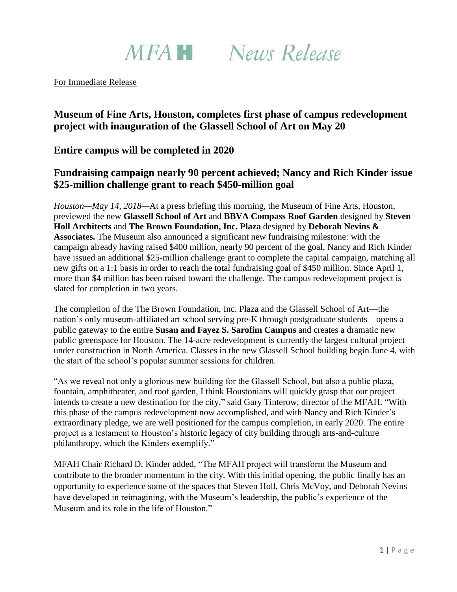

For Immediate Release

# **Museum of Fine Arts, Houston, completes first phase of campus redevelopment project with inauguration of the Glassell School of Art on May 20**

## **Entire campus will be completed in 2020**

## **Fundraising campaign nearly 90 percent achieved; Nancy and Rich Kinder issue \$25-million challenge grant to reach \$450-million goal**

*Houston—May 14, 2018—*At a press briefing this morning, the Museum of Fine Arts, Houston, previewed the new **Glassell School of Art** and **BBVA Compass Roof Garden** designed by **Steven Holl Architects** and **The Brown Foundation, Inc. Plaza** designed by **Deborah Nevins & Associates.** The Museum also announced a significant new fundraising milestone: with the campaign already having raised \$400 million, nearly 90 percent of the goal, Nancy and Rich Kinder have issued an additional \$25-million challenge grant to complete the capital campaign, matching all new gifts on a 1:1 basis in order to reach the total fundraising goal of \$450 million. Since April 1, more than \$4 million has been raised toward the challenge. The campus redevelopment project is slated for completion in two years.

The completion of the The Brown Foundation, Inc. Plaza and the Glassell School of Art—the nation's only museum-affiliated art school serving pre-K through postgraduate students—opens a public gateway to the entire **Susan and Fayez S. Sarofim Campus** and creates a dramatic new public greenspace for Houston. The 14-acre redevelopment is currently the largest cultural project under construction in North America. Classes in the new Glassell School building begin June 4, with the start of the school's popular summer sessions for children.

"As we reveal not only a glorious new building for the Glassell School, but also a public plaza, fountain, amphitheater, and roof garden, I think Houstonians will quickly grasp that our project intends to create a new destination for the city," said Gary Tinterow, director of the MFAH. "With this phase of the campus redevelopment now accomplished, and with Nancy and Rich Kinder's extraordinary pledge, we are well positioned for the campus completion, in early 2020. The entire project is a testament to Houston's historic legacy of city building through arts-and-culture philanthropy, which the Kinders exemplify."

MFAH Chair Richard D. Kinder added, "The MFAH project will transform the Museum and contribute to the broader momentum in the city. With this initial opening, the public finally has an opportunity to experience some of the spaces that Steven Holl, Chris McVoy, and Deborah Nevins have developed in reimagining, with the Museum's leadership, the public's experience of the Museum and its role in the life of Houston."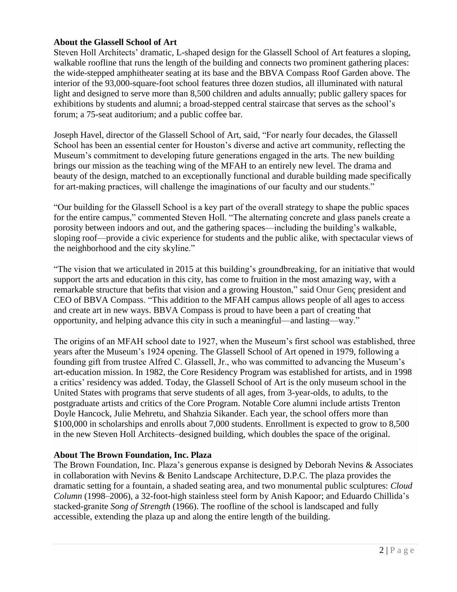## **About the Glassell School of Art**

Steven Holl Architects' dramatic, L-shaped design for the Glassell School of Art features a sloping, walkable roofline that runs the length of the building and connects two prominent gathering places: the wide-stepped amphitheater seating at its base and the BBVA Compass Roof Garden above. The interior of the 93,000-square-foot school features three dozen studios, all illuminated with natural light and designed to serve more than 8,500 children and adults annually; public gallery spaces for exhibitions by students and alumni; a broad-stepped central staircase that serves as the school's forum; a 75-seat auditorium; and a public coffee bar.

Joseph Havel, director of the Glassell School of Art, said, "For nearly four decades, the Glassell School has been an essential center for Houston's diverse and active art community, reflecting the Museum's commitment to developing future generations engaged in the arts. The new building brings our mission as the teaching wing of the MFAH to an entirely new level. The drama and beauty of the design, matched to an exceptionally functional and durable building made specifically for art-making practices, will challenge the imaginations of our faculty and our students."

"Our building for the Glassell School is a key part of the overall strategy to shape the public spaces for the entire campus," commented Steven Holl. "The alternating concrete and glass panels create a porosity between indoors and out, and the gathering spaces—including the building's walkable, sloping roof—provide a civic experience for students and the public alike, with spectacular views of the neighborhood and the city skyline."

"The vision that we articulated in 2015 at this building's groundbreaking, for an initiative that would support the arts and education in this city, has come to fruition in the most amazing way, with a remarkable structure that befits that vision and a growing Houston," said Onur Genç president and CEO of BBVA Compass. "This addition to the MFAH campus allows people of all ages to access and create art in new ways. BBVA Compass is proud to have been a part of creating that opportunity, and helping advance this city in such a meaningful—and lasting—way."

The origins of an MFAH school date to 1927, when the Museum's first school was established, three years after the Museum's 1924 opening. The Glassell School of Art opened in 1979, following a founding gift from trustee Alfred C. Glassell, Jr., who was committed to advancing the Museum's art-education mission. In 1982, the Core Residency Program was established for artists, and in 1998 a critics' residency was added. Today, the Glassell School of Art is the only museum school in the United States with programs that serve students of all ages, from 3-year-olds, to adults, to the postgraduate artists and critics of the Core Program. Notable Core alumni include artists Trenton Doyle Hancock, Julie Mehretu, and Shahzia Sikander. Each year, the school offers more than \$100,000 in scholarships and enrolls about 7,000 students. Enrollment is expected to grow to 8,500 in the new Steven Holl Architects–designed building, which doubles the space of the original.

### **About The Brown Foundation, Inc. Plaza**

The Brown Foundation, Inc. Plaza's generous expanse is designed by Deborah Nevins & Associates in collaboration with Nevins & Benito Landscape Architecture, D.P.C. The plaza provides the dramatic setting for a fountain, a shaded seating area, and two monumental public sculptures: *Cloud Column* (1998–2006), a 32-foot-high stainless steel form by Anish Kapoor; and Eduardo Chillida's stacked-granite *Song of Strength* (1966). The roofline of the school is landscaped and fully accessible, extending the plaza up and along the entire length of the building.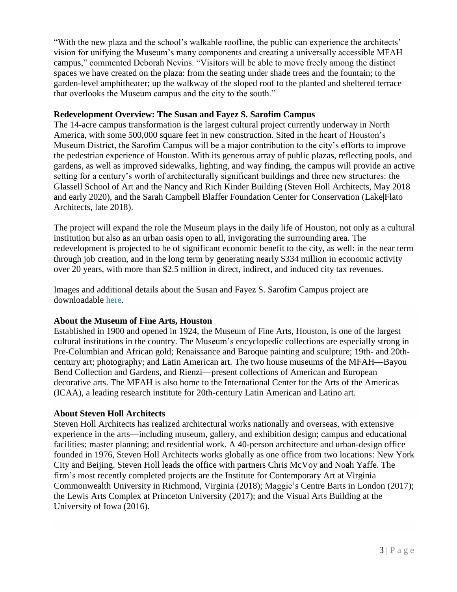"With the new plaza and the school's walkable roofline, the public can experience the architects' vision for unifying the Museum's many components and creating a universally accessible MFAH campus," commented Deborah Nevins. "Visitors will be able to move freely among the distinct spaces we have created on the plaza: from the seating under shade trees and the fountain; to the garden-level amphitheater; up the walkway of the sloped roof to the planted and sheltered terrace that overlooks the Museum campus and the city to the south."

## **Redevelopment Overview: The Susan and Fayez S. Sarofim Campus**

The 14-acre campus transformation is the largest cultural project currently underway in North America, with some 500,000 square feet in new construction. Sited in the heart of Houston's Museum District, the Sarofim Campus will be a major contribution to the city's efforts to improve the pedestrian experience of Houston. With its generous array of public plazas, reflecting pools, and gardens, as well as improved sidewalks, lighting, and way finding, the campus will provide an active setting for a century's worth of architecturally significant buildings and three new structures: the Glassell School of Art and the Nancy and Rich Kinder Building (Steven Holl Architects, May 2018 and early 2020), and the Sarah Campbell Blaffer Foundation Center for Conservation (Lake|Flato Architects, late 2018).

The project will expand the role the Museum plays in the daily life of Houston, not only as a cultural institution but also as an urban oasis open to all, invigorating the surrounding area. The redevelopment is projected to be of significant economic benefit to the city, as well: in the near term through job creation, and in the long term by generating nearly \$334 million in economic activity over 20 years, with more than \$2.5 million in direct, indirect, and induced city tax revenues.

Images and additional details about the Susan and Fayez S. Sarofim Campus project are downloadable [here.](https://www.dropbox.com/sh/plsdgnsw7td5a5l/AABm9f3Z4e6fF37V7XJmFnv-a?dl=0)

### **About the Museum of Fine Arts, Houston**

Established in 1900 and opened in 1924, the Museum of Fine Arts, Houston, is one of the largest cultural institutions in the country. The Museum's encyclopedic collections are especially strong in Pre-Columbian and African gold; Renaissance and Baroque painting and sculpture; 19th- and 20thcentury art; photography; and Latin American art. The two house museums of the MFAH—Bayou Bend Collection and Gardens, and Rienzi—present collections of American and European decorative arts. The MFAH is also home to the International Center for the Arts of the Americas (ICAA), a leading research institute for 20th-century Latin American and Latino art.

### **About Steven Holl Architects**

Steven Holl Architects has realized architectural works nationally and overseas, with extensive experience in the arts—including museum, gallery, and exhibition design; campus and educational facilities; master planning; and residential work. A 40-person architecture and urban-design office founded in 1976, Steven Holl Architects works globally as one office from two locations: New York City and Beijing. Steven Holl leads the office with partners Chris McVoy and Noah Yaffe. The firm's most recently completed projects are the Institute for Contemporary Art at Virginia Commonwealth University in Richmond, Virginia (2018); Maggie's Centre Barts in London (2017); the Lewis Arts Complex at Princeton University (2017); and the Visual Arts Building at the University of Iowa (2016).